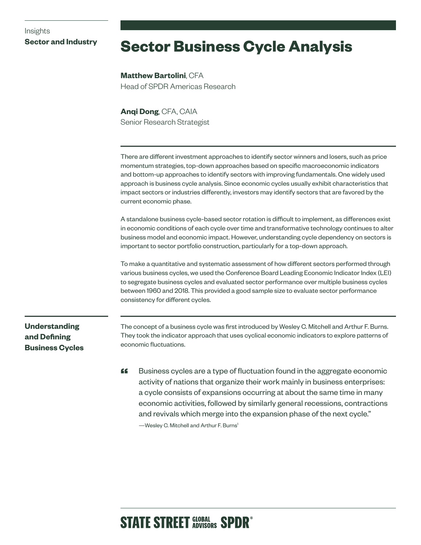## Insights **Sector and Industry**

# **Sector Business Cycle Analysis**

**Matthew Bartolini**, CFA Head of SPDR Americas Research

**Anqi Dong**, CFA, CAIA Senior Research Strategist

There are different investment approaches to identify sector winners and losers, such as price momentum strategies, top-down approaches based on specific macroeconomic indicators and bottom-up approaches to identify sectors with improving fundamentals. One widely used approach is business cycle analysis. Since economic cycles usually exhibit characteristics that impact sectors or industries differently, investors may identify sectors that are favored by the current economic phase.

A standalone business cycle-based sector rotation is difficult to implement, as differences exist in economic conditions of each cycle over time and transformative technology continues to alter business model and economic impact. However, understanding cycle dependency on sectors is important to sector portfolio construction, particularly for a top-down approach.

To make a quantitative and systematic assessment of how different sectors performed through various business cycles, we used the Conference Board Leading Economic Indicator Index (LEI) to segregate business cycles and evaluated sector performance over multiple business cycles between 1960 and 2018. This provided a good sample size to evaluate sector performance consistency for different cycles.

**Understanding and Defining Business Cycles**

The concept of a business cycle was first introduced by Wesley C. Mitchell and Arthur F. Burns. They took the indicator approach that uses cyclical economic indicators to explore patterns of economic fluctuations.

**"** Business cycles are a type of fluctuation found in the aggregate economic activity of nations that organize their work mainly in business enterprises: a cycle consists of expansions occurring at about the same time in many economic activities, followed by similarly general recessions, contractions and revivals which merge into the expansion phase of the next cycle."

—Wesley C. Mitchell and Arthur F. Burns1

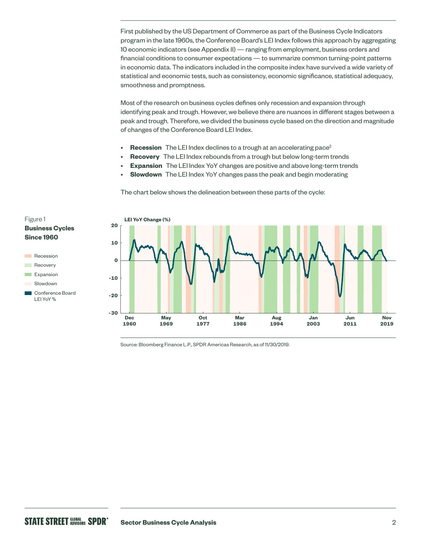First published by the US Department of Commerce as part of the Business Cycle Indicators program in the late 1960s, the Conference Board's LEI Index follows this approach by aggregating 10 economic indicators (see Appendix II) — ranging from employment, business orders and financial conditions to consumer expectations — to summarize common turning-point patterns in economic data. The indicators included in the composite index have survived a wide variety of statistical and economic tests, such as consistency, economic significance, statistical adequacy, smoothness and promptness.

Most of the research on business cycles defines only recession and expansion through identifying peak and trough. However, we believe there are nuances in different stages between a peak and trough. Therefore, we divided the business cycle based on the direction and magnitude of changes of the Conference Board LEI Index.

- **Recession** The LEI Index declines to a trough at an accelerating pace<sup>2</sup>
- **Recovery** The LEI Index rebounds from a trough but below long-term trends
- **Expansion** The LEI Index YoY changes are positive and above long-term trends
- **Slowdown** The LEI Index YoY changes pass the peak and begin moderating

The chart below shows the delineation between these parts of the cycle:



Source: Bloomberg Finance L.P., SPDR Americas Research, as of 11/30/2019.

Figure 1

**Since 1960**

Recession **Recovery Expansion** Slowdown

LEI YoY %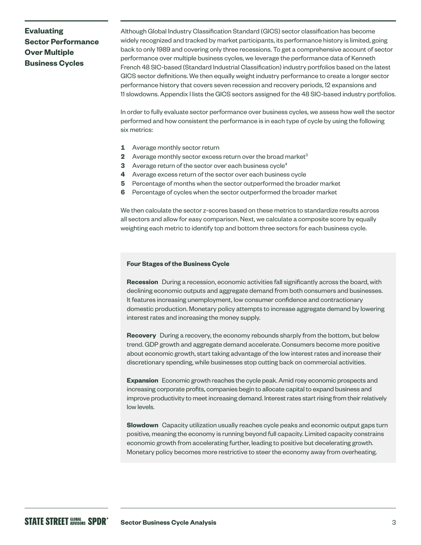## **Evaluating Sector Performance Over Multiple Business Cycles**

Although Global Industry Classification Standard (GICS) sector classification has become widely recognized and tracked by market participants, its performance history is limited, going back to only 1989 and covering only three recessions. To get a comprehensive account of sector performance over multiple business cycles, we leverage the performance data of Kenneth French 48 SIC-based (Standard Industrial Classification) industry portfolios based on the latest GICS sector definitions. We then equally weight industry performance to create a longer sector performance history that covers seven recession and recovery periods, 12 expansions and 11 slowdowns. Appendix I lists the GICS sectors assigned for the 48 SIC-based industry portfolios.

In order to fully evaluate sector performance over business cycles, we assess how well the sector performed and how consistent the performance is in each type of cycle by using the following six metrics:

- **1** Average monthly sector return
- **2** Average monthly sector excess return over the broad market<sup>3</sup>
- **3** Average return of the sector over each business cycle<sup>4</sup>
- **4** Average excess return of the sector over each business cycle
- **5** Percentage of months when the sector outperformed the broader market
- **6** Percentage of cycles when the sector outperformed the broader market

We then calculate the sector z-scores based on these metrics to standardize results across all sectors and allow for easy comparison. Next, we calculate a composite score by equally weighting each metric to identify top and bottom three sectors for each business cycle.

## **Four Stages of the Business Cycle**

**Recession** During a recession, economic activities fall significantly across the board, with declining economic outputs and aggregate demand from both consumers and businesses. It features increasing unemployment, low consumer confidence and contractionary domestic production. Monetary policy attempts to increase aggregate demand by lowering interest rates and increasing the money supply.

**Recovery** During a recovery, the economy rebounds sharply from the bottom, but below trend. GDP growth and aggregate demand accelerate. Consumers become more positive about economic growth, start taking advantage of the low interest rates and increase their discretionary spending, while businesses stop cutting back on commercial activities.

**Expansion** Economic growth reaches the cycle peak. Amid rosy economic prospects and increasing corporate profits, companies begin to allocate capital to expand business and improve productivity to meet increasing demand. Interest rates start rising from their relatively low levels.

**Slowdown** Capacity utilization usually reaches cycle peaks and economic output gaps turn positive, meaning the economy is running beyond full capacity. Limited capacity constrains economic growth from accelerating further, leading to positive but decelerating growth. Monetary policy becomes more restrictive to steer the economy away from overheating.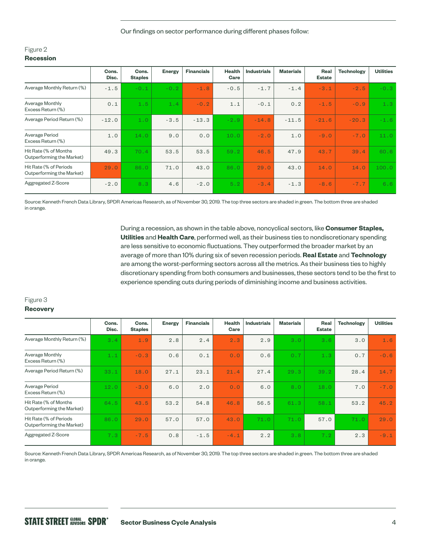Our findings on sector performance during different phases follow:

## Figure 2 **Recession**

|                                                     | Cons.<br>Disc. | Cons.<br><b>Staples</b> | <b>Energy</b> | <b>Financials</b> | <b>Health</b><br>Care | <b>Industrials</b> | <b>Materials</b> | Real<br><b>Estate</b> | <b>Technology</b> | <b>Utilities</b> |
|-----------------------------------------------------|----------------|-------------------------|---------------|-------------------|-----------------------|--------------------|------------------|-----------------------|-------------------|------------------|
| Average Monthly Return (%)                          | $-1.5$         | $-0.1$                  | $-0.2$        | $-1.8$            | $-0.5$                | $-1.7$             | $-1.4$           | $-3.1$                | $-2.5$            | $-0.3$           |
| Average Monthly<br>Excess Return (%)                | 0.1            | 1.5                     | 1.4           | $-0.2$            | 1.1                   | $-0.1$             | 0.2              | $-1.5$                | $-0.9$            | 1.3              |
| Average Period Return (%)                           | $-12.0$        | 1.0                     | $-3.5$        | $-13.3$           | $-2.9$                | $-14.8$            | $-11.5$          | $-21.6$               | $-20.3$           | $-1.6$           |
| Average Period<br>Excess Return (%)                 | 1.0            | 14.0                    | 9.0           | 0.0               | 10.0                  | $-2.0$             | 1.0              | $-9.0$                | $-7.0$            | 11.0             |
| Hit Rate (% of Months<br>Outperforming the Market)  | 49.3           | 70.4                    | 53.5          | 53.5              | 59.2                  | 46.5               | 47.9             | 43.7                  | 39.4              | 60.6             |
| Hit Rate (% of Periods<br>Outperforming the Market) | 29.0           | 86.0                    | 71.0          | 43.0              | 86.0                  | 29.0               | 43.0             | 14.0                  | 14.0              | 100.0            |
| Aggregated Z-Score                                  | $-2.0$         | 8.3                     | 4.6           | $-2.0$            | 5.2                   | $-3.4$             | $-1.3$           | $-8.6$                | $-7.7$            | 6.6              |

Source: Kenneth French Data Library, SPDR Americas Research, as of November 30, 2019. The top three sectors are shaded in green. The bottom three are shaded in orange.

> During a recession, as shown in the table above, noncyclical sectors, like **Consumer Staples, Utilities** and **Health Care**, performed well, as their business ties to nondiscretionary spending are less sensitive to economic fluctuations. They outperformed the broader market by an average of more than 10% during six of seven recession periods. **Real Estate** and **Technology** are among the worst-performing sectors across all the metrics. As their business ties to highly discretionary spending from both consumers and businesses, these sectors tend to be the first to experience spending cuts during periods of diminishing income and business activities.

## Figure 3

## **Recovery**

|                                                     | Cons.<br>Disc. | Cons.<br><b>Staples</b> | <b>Energy</b> | <b>Financials</b> | <b>Health</b><br>Care | <b>Industrials</b> | <b>Materials</b> | Real<br><b>Estate</b> | <b>Technology</b> | <b>Utilities</b> |
|-----------------------------------------------------|----------------|-------------------------|---------------|-------------------|-----------------------|--------------------|------------------|-----------------------|-------------------|------------------|
| Average Monthly Return (%)                          | 3.4            | 1.9                     | 2.8           | 2.4               | 2.3                   | 2.9                | 3.0              | 3.6                   | 3.0               | 1.6              |
| Average Monthly<br>Excess Return (%)                | 1.1            | $-0.3$                  | 0.6           | 0.1               | 0.0                   | 0.6                | 0.7              | 1.3                   | 0.7               | $-0.6$           |
| Average Period Return (%)                           | 33.1           | 18.0                    | 27.1          | 23.1              | 21.4                  | 27.4               | 29.3             | 39.2                  | 28.4              | 14.7             |
| Average Period<br>Excess Return (%)                 | 12.0           | $-3.0$                  | 6.0           | 2.0               | 0.0                   | 6.0                | 8.0              | 18.0                  | 7.0               | $-7.0$           |
| Hit Rate (% of Months<br>Outperforming the Market)  | 64.5           | 43.5                    | 53.2          | 54.8              | 46.8                  | 56.5               | 61.3             | 58.1                  | 53.2              | 45.2             |
| Hit Rate (% of Periods<br>Outperforming the Market) | 86.0           | 29.0                    | 57.0          | 57.0              | 43.0                  | 71.0               | 71.0             | 57.0                  | 71.0              | 29.0             |
| Aggregated Z-Score                                  | 7.3            | $-7.5$                  | 0.8           | $-1.5$            | $-4.1$                | 2.2                | 3.8              | 7.2                   | 2.3               | $-9.1$           |

Source: Kenneth French Data Library, SPDR Americas Research, as of November 30, 2019. The top three sectors are shaded in green. The bottom three are shaded in orange.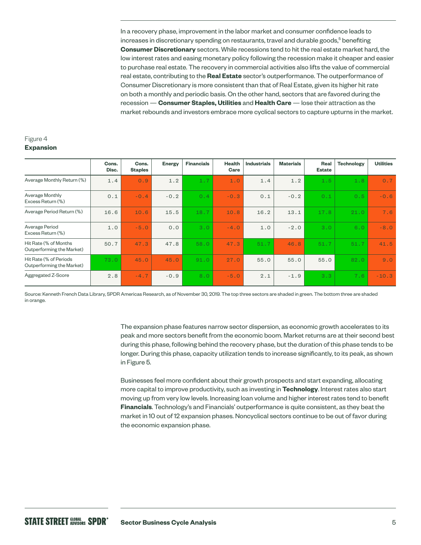In a recovery phase, improvement in the labor market and consumer confidence leads to increases in discretionary spending on restaurants, travel and durable goods,<sup>5</sup> benefiting **Consumer Discretionary** sectors. While recessions tend to hit the real estate market hard, the low interest rates and easing monetary policy following the recession make it cheaper and easier to purchase real estate. The recovery in commercial activities also lifts the value of commercial real estate, contributing to the **Real Estate** sector's outperformance. The outperformance of Consumer Discretionary is more consistent than that of Real Estate, given its higher hit rate on both a monthly and periodic basis. On the other hand, sectors that are favored during the recession — **Consumer Staples, Utilities** and **Health Care** — lose their attraction as the market rebounds and investors embrace more cyclical sectors to capture upturns in the market.

## Figure 4 **Expansion**

|                                                     | Cons.<br>Disc. | Cons.<br><b>Staples</b> | <b>Energy</b> | <b>Financials</b> | <b>Health</b><br>Care | <b>Industrials</b> | <b>Materials</b> | Real<br><b>Estate</b> | <b>Technology</b> | <b>Utilities</b> |
|-----------------------------------------------------|----------------|-------------------------|---------------|-------------------|-----------------------|--------------------|------------------|-----------------------|-------------------|------------------|
| Average Monthly Return (%)                          | 1.4            | 0.9                     | 1.2           | 1.7               | 1.0                   | 1.4                | 1.2              | 1.5                   | 1.8               | 0.7              |
| Average Monthly<br>Excess Return (%)                | 0.1            | $-0.4$                  | $-0.2$        | 0.4               | $-0.3$                | 0.1                | $-0.2$           | 0.1                   | 0.5               | $-0.6$           |
| Average Period Return (%)                           | 16.6           | 10.6                    | 15.5          | 18.7              | 10.8                  | 16.2               | 13.1             | 17.8                  | 21.0              | 7.6              |
| Average Period<br>Excess Return (%)                 | 1.0            | $-5.0$                  | 0.0           | 3.0               | $-4.0$                | 1.0                | $-2.0$           | 3.0                   | 6.0               | $-8.0$           |
| Hit Rate (% of Months<br>Outperforming the Market)  | 50.7           | 47.3                    | 47.8          | 58.0              | 47.3                  | 51.7               | 46.8             | 51.7                  | 51.7              | 41.5             |
| Hit Rate (% of Periods<br>Outperforming the Market) | 73.0           | 45.0                    | 45.0          | 91.0              | 27.0                  | 55.0               | 55.0             | 55.0                  | 82.0              | 9.0              |
| Aggregated Z-Score                                  | 2.8            | $-4.7$                  | $-0.9$        | 8.0               | $-5.0$                | 2.1                | $-1.9$           | 3.3                   | 7.6               | $-10.3$          |

Source: Kenneth French Data Library, SPDR Americas Research, as of November 30, 2019. The top three sectors are shaded in green. The bottom three are shaded in orange.

> The expansion phase features narrow sector dispersion, as economic growth accelerates to its peak and more sectors benefit from the economic boom. Market returns are at their second best during this phase, following behind the recovery phase, but the duration of this phase tends to be longer. During this phase, capacity utilization tends to increase significantly, to its peak, as shown in Figure 5.

Businesses feel more confident about their growth prospects and start expanding, allocating more capital to improve productivity, such as investing in **Technology**. Interest rates also start moving up from very low levels. Increasing loan volume and higher interest rates tend to benefit **Financials**. Technology's and Financials' outperformance is quite consistent, as they beat the market in 10 out of 12 expansion phases. Noncyclical sectors continue to be out of favor during the economic expansion phase.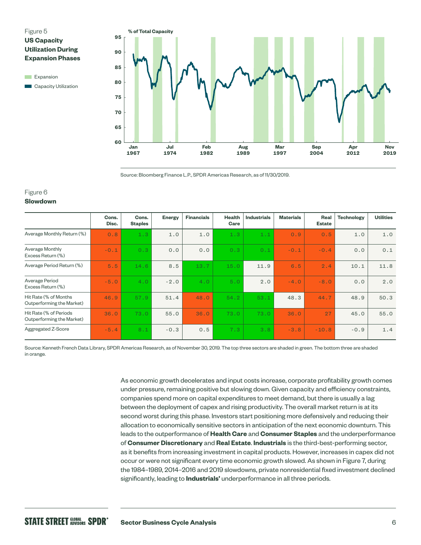## Figure 5 **US Capacity Utilization During Expansion Phases**

**Expansion Capacity Utilization** 



Source: Bloomberg Finance L.P., SPDR Americas Research, as of 11/30/2019.

## Figure 6

### **Slowdown**

|                                                     | Cons.<br>Disc. | Cons.<br><b>Staples</b> | <b>Energy</b> | <b>Financials</b> | <b>Health</b><br>Care | <b>Industrials</b> | <b>Materials</b> | Real<br><b>Estate</b> | <b>Technology</b> | <b>Utilities</b> |
|-----------------------------------------------------|----------------|-------------------------|---------------|-------------------|-----------------------|--------------------|------------------|-----------------------|-------------------|------------------|
| Average Monthly Return (%)                          | 0.8            | 1.3                     | 1.0           | 1.0               | 1.3                   | 1.1                | 0.9              | 0.5                   | 1.0               | 1.0              |
| Average Monthly<br>Excess Return (%)                | $-0.1$         | 0.3                     | 0.0           | 0.0               | 0.3                   | 0.1                | $-0.1$           | $-0.4$                | 0.0               | 0.1              |
| Average Period Return (%)                           | 5.5            | 14.6                    | 8.5           | 13.7              | 15.0                  | 11.9               | 6.5              | 2.4                   | 10.1              | 11.8             |
| Average Period<br>Excess Return (%)                 | $-5.0$         | 4.0                     | $-2.0$        | 4.0               | 5.0                   | 2.0                | $-4.0$           | $-8.0$                | 0.0               | 2.0              |
| Hit Rate (% of Months<br>Outperforming the Market)  | 46.9           | 57.9                    | 51.4          | 48.0              | 54.2                  | 53.1               | 48.3             | 44.7                  | 48.9              | 50.3             |
| Hit Rate (% of Periods<br>Outperforming the Market) | 36.0           | 73.0                    | 55.0          | 36.0              | 73.0                  | 73.0               | 36.0             | 27                    | 45.0              | 55.0             |
| Aggregated Z-Score                                  | $-5.4$         | 8.1                     | $-0.3$        | 0.5               | 7.3                   | 3.8                | $-3.8$           | $-10.8$               | $-0.9$            | 1.4              |

Source: Kenneth French Data Library, SPDR Americas Research, as of November 30, 2019. The top three sectors are shaded in green. The bottom three are shaded in orange.

> As economic growth decelerates and input costs increase, corporate profitability growth comes under pressure, remaining positive but slowing down. Given capacity and efficiency constraints, companies spend more on capital expenditures to meet demand, but there is usually a lag between the deployment of capex and rising productivity. The overall market return is at its second worst during this phase. Investors start positioning more defensively and reducing their allocation to economically sensitive sectors in anticipation of the next economic downturn. This leads to the outperformance of **Health Care** and **Consumer Staples** and the underperformance of **Consumer Discretionary** and **Real Estate**. **Industrials** is the third-best-performing sector, as it benefits from increasing investment in capital products. However, increases in capex did not occur or were not significant every time economic growth slowed. As shown in Figure 7, during the 1984–1989, 2014–2016 and 2019 slowdowns, private nonresidential fixed investment declined significantly, leading to **Industrials'** underperformance in all three periods.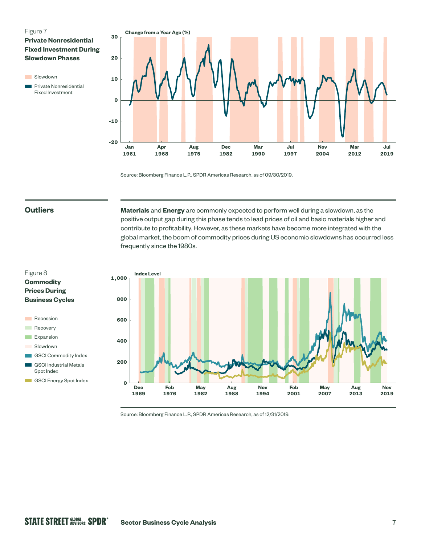## Figure 7

**Private Nonresidential Fixed Investment During Slowdown Phases** 

**Slowdown Private Nonresidential** 

Fixed Investment



Source: Bloomberg Finance L.P., SPDR Americas Research, as of 09/30/2019.

## **Outliers**

Figure 8 **Commodity Prices During Business Cycles**

**Recession Recovery Expansion** Slowdown

Spot Index

**Materials** and **Energy** are commonly expected to perform well during a slowdown, as the positive output gap during this phase tends to lead prices of oil and basic materials higher and contribute to profitability. However, as these markets have become more integrated with the global market, the boom of commodity prices during US economic slowdowns has occurred less frequently since the 1980s.



Source: Bloomberg Finance L.P., SPDR Americas Research, as of 12/31/2019.

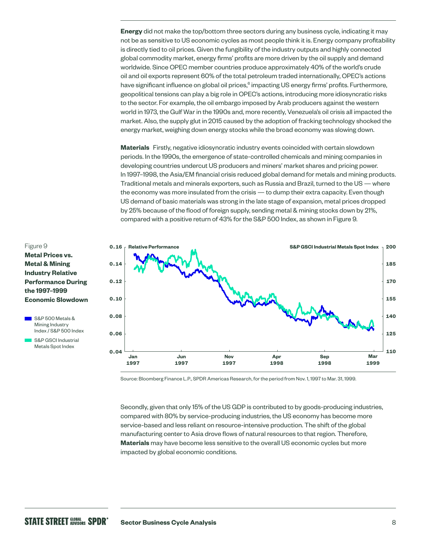**Energy** did not make the top/bottom three sectors during any business cycle, indicating it may not be as sensitive to US economic cycles as most people think it is. Energy company profitability is directly tied to oil prices. Given the fungibility of the industry outputs and highly connected global commodity market, energy firms' profits are more driven by the oil supply and demand worldwide. Since OPEC member countries produce approximately 40% of the world's crude oil and oil exports represent 60% of the total petroleum traded internationally, OPEC's actions have significant influence on global oil prices,<sup>6</sup> impacting US energy firms' profits. Furthermore, geopolitical tensions can play a big role in OPEC's actions, introducing more idiosyncratic risks to the sector. For example, the oil embargo imposed by Arab producers against the western world in 1973, the Gulf War in the 1990s and, more recently, Venezuela's oil crisis all impacted the market. Also, the supply glut in 2015 caused by the adoption of fracking technology shocked the energy market, weighing down energy stocks while the broad economy was slowing down.

**Materials** Firstly, negative idiosyncratic industry events coincided with certain slowdown periods. In the 1990s, the emergence of state-controlled chemicals and mining companies in developing countries undercut US producers and miners' market shares and pricing power. In 1997–1998, the Asia/EM financial crisis reduced global demand for metals and mining products. Traditional metals and minerals exporters, such as Russia and Brazil, turned to the US — where the economy was more insulated from the crisis — to dump their extra capacity. Even though US demand of basic materials was strong in the late stage of expansion, metal prices dropped by 25% because of the flood of foreign supply, sending metal & mining stocks down by 21%, compared with a positive return of 43% for the S&P 500 Index, as shown in Figure 9.



Source: Bloomberg Finance L.P., SPDR Americas Research, for the period from Nov. 1, 1997 to Mar. 31, 1999.

Secondly, given that only 15% of the US GDP is contributed to by goods-producing industries, compared with 80% by service-producing industries, the US economy has become more service-based and less reliant on resource-intensive production. The shift of the global manufacturing center to Asia drove flows of natural resources to that region. Therefore, **Materials** may have become less sensitive to the overall US economic cycles but more impacted by global economic conditions.

## Figure 9 **Metal Prices vs. Metal & Mining Industry Relative Performance During the 1997–1999 Economic Slowdown**



S&P GSCI Industrial Metals Spot Index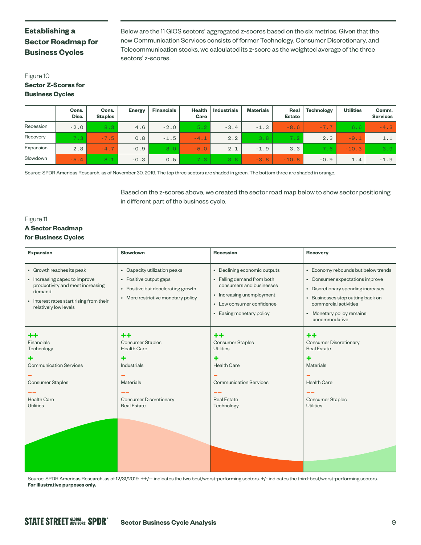## **Establishing a Sector Roadmap for Business Cycles**

Below are the 11 GICS sectors' aggregated z-scores based on the six metrics. Given that the new Communication Services consists of former Technology, Consumer Discretionary, and Telecommunication stocks, we calculated its z-score as the weighted average of the three sectors' z-scores.

## Figure 10 **Sector Z-Scores for Business Cycles**

|           | Cons.<br>Disc. | Cons.<br><b>Staples</b> | <b>Energy</b> | <b>Financials</b> | <b>Health</b><br>Care | <b>Industrials</b> | <b>Materials</b> | Real<br><b>Estate</b> | Technology | <b>Utilities</b> | Comm.<br><b>Services</b> |
|-----------|----------------|-------------------------|---------------|-------------------|-----------------------|--------------------|------------------|-----------------------|------------|------------------|--------------------------|
| Recession | $-2.0$         | 8.3                     | 4.6           | $-2.0$            | 5.2                   | $-3.4$             | $-1.3$           | $-8.6$                | $-7.7$     | 6.6              | $-4.3$                   |
| Recovery  | 7.3            | $-7.5$                  | 0.8           | $-1.5$            | $-4.1$                | 2.2                | 3.8              | 7.2                   | 2.3        | $-9.1$           | 1.1                      |
| Expansion | 2.8            | $-4.7$                  | $-0.9$        | 8.0               | $-5.0$                | 2.1                | $-1.9$           | 3.3                   | 7.6        | $-10.3$          | 3.9                      |
| Slowdown  | $-5.4$         | 8.1                     | $-0.3$        | 0.5               | 7.3                   | 3.8                | $-3.8$           | $-10.8$               | $-0.9$     | 1.4              | $-1.9$                   |

Source: SPDR Americas Research, as of November 30, 2019. The top three sectors are shaded in green. The bottom three are shaded in orange.

Based on the z-scores above, we created the sector road map below to show sector positioning in different part of the business cycle.

## Figure 11

## **A Sector Roadmap for Business Cycles**

| <b>Expansion</b>                                                                                                                                                              | <b>Slowdown</b>                                                                                                                                              | <b>Recession</b>                                                                                                                                                             | Recovery                                                                                                                                                                                                                 |
|-------------------------------------------------------------------------------------------------------------------------------------------------------------------------------|--------------------------------------------------------------------------------------------------------------------------------------------------------------|------------------------------------------------------------------------------------------------------------------------------------------------------------------------------|--------------------------------------------------------------------------------------------------------------------------------------------------------------------------------------------------------------------------|
| • Growth reaches its peak<br>• Increasing capex to improve<br>productivity and meet increasing<br>demand<br>• Interest rates start rising from their<br>relatively low levels | • Capacity utilization peaks<br>• Positive output gaps<br>• Positive but decelerating growth<br>• More restrictive monetary policy                           | • Declining economic outputs<br>• Falling demand from both<br>consumers and businesses<br>• Increasing unemployment<br>• Low consumer confidence<br>• Easing monetary policy | • Economy rebounds but below trends<br>• Consumer expectations improve<br>• Discretionary spending increases<br>• Businesses stop cutting back on<br>commercial activities<br>• Monetary policy remains<br>accommodative |
| ++<br>Financials<br>Technology<br>٠<br><b>Communication Services</b><br><b>Consumer Staples</b><br><b>Health Care</b><br>Utilities                                            | $+ +$<br><b>Consumer Staples</b><br><b>Health Care</b><br>٠<br><b>Industrials</b><br><b>Materials</b><br><b>Consumer Discretionary</b><br><b>Real Estate</b> | $+ +$<br><b>Consumer Staples</b><br><b>Utilities</b><br>٠<br><b>Health Care</b><br><b>Communication Services</b><br><b>Real Estate</b><br>Technology                         | $+ +$<br><b>Consumer Discretionary</b><br><b>Real Estate</b><br>٠<br><b>Materials</b><br><b>Health Care</b><br><b>Consumer Staples</b><br>Utilities                                                                      |

Source: SPDR Americas Research, as of 12/31/2019. ++/-- indicates the two best/worst-performing sectors. +/- indicates the third-best/worst-performing sectors. **For illustrative purposes only.**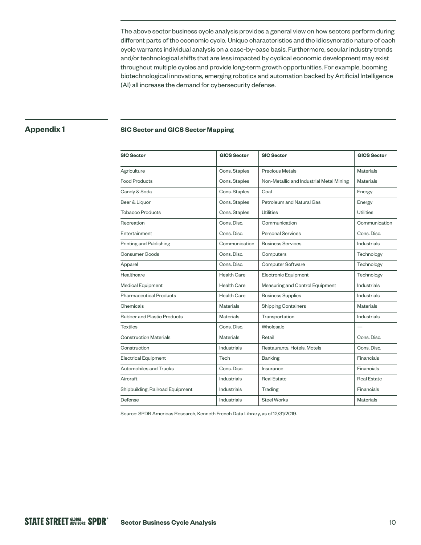The above sector business cycle analysis provides a general view on how sectors perform during different parts of the economic cycle. Unique characteristics and the idiosyncratic nature of each cycle warrants individual analysis on a case-by-case basis. Furthermore, secular industry trends and/or technological shifts that are less impacted by cyclical economic development may exist throughout multiple cycles and provide long-term growth opportunities. For example, booming biotechnological innovations, emerging robotics and automation backed by Artificial Intelligence (AI) all increase the demand for cybersecurity defense.

## **Appendix 1**

## **SIC Sector and GICS Sector Mapping**

| <b>SIC Sector</b>                  | <b>GICS Sector</b> | <b>SIC Sector</b>                        | <b>GICS Sector</b> |
|------------------------------------|--------------------|------------------------------------------|--------------------|
| Agriculture                        | Cons. Staples      | <b>Precious Metals</b>                   | Materials          |
| <b>Food Products</b>               | Cons. Staples      | Non-Metallic and Industrial Metal Mining | <b>Materials</b>   |
| Candy & Soda                       | Cons. Staples      | Coal                                     | Energy             |
| Beer & Liquor                      | Cons. Staples      | Petroleum and Natural Gas                | Energy             |
| <b>Tobacco Products</b>            | Cons. Staples      | Utilities                                | Utilities          |
| Recreation                         | Cons. Disc.        | Communication                            | Communication      |
| Entertainment                      | Cons. Disc.        | <b>Personal Services</b>                 | Cons. Disc.        |
| Printing and Publishing            | Communication      | <b>Business Services</b>                 | <b>Industrials</b> |
| <b>Consumer Goods</b>              | Cons. Disc.        | Computers                                | Technology         |
| Apparel                            | Cons. Disc.        | <b>Computer Software</b>                 | Technology         |
| Healthcare                         | <b>Health Care</b> | Electronic Equipment                     | Technology         |
| <b>Medical Equipment</b>           | <b>Health Care</b> | Measuring and Control Equipment          | Industrials        |
| <b>Pharmaceutical Products</b>     | <b>Health Care</b> | <b>Business Supplies</b>                 | Industrials        |
| Chemicals                          | <b>Materials</b>   | <b>Shipping Containers</b>               | <b>Materials</b>   |
| <b>Rubber and Plastic Products</b> | <b>Materials</b>   | Transportation                           | Industrials        |
| <b>Textiles</b>                    | Cons. Disc.        | Wholesale                                |                    |
| <b>Construction Materials</b>      | <b>Materials</b>   | Retail                                   | Cons. Disc.        |
| Construction                       | Industrials        | Restaurants, Hotels, Motels              | Cons. Disc.        |
| <b>Electrical Equipment</b>        | Tech               | <b>Banking</b>                           | Financials         |
| Automobiles and Trucks             | Cons. Disc.        | Insurance                                | Financials         |
| Aircraft                           | <b>Industrials</b> | <b>Real Estate</b>                       | <b>Real Estate</b> |
| Shipbuilding, Railroad Equipment   | <b>Industrials</b> | <b>Trading</b>                           | Financials         |
| Defense                            | <b>Industrials</b> | <b>Steel Works</b>                       | <b>Materials</b>   |

Source: SPDR Americas Research, Kenneth French Data Library, as of 12/31/2019.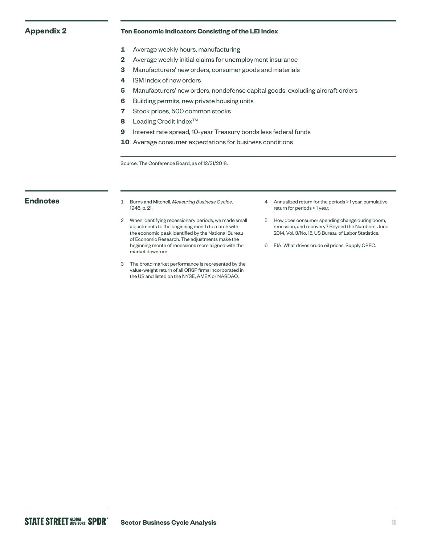## **Appendix 2 Ten Economic Indicators Consisting of the LEI Index**

- **1** Average weekly hours, manufacturing
- **2** Average weekly initial claims for unemployment insurance
- **3** Manufacturers' new orders, consumer goods and materials
- **4** ISM Index of new orders
- **5** Manufacturers' new orders, nondefense capital goods, excluding aircraft orders
- **6** Building permits, new private housing units
- **7** Stock prices, 500 common stocks
- **8** Leading Credit Index<sup>™</sup>
- **9** Interest rate spread, 10-year Treasury bonds less federal funds
- **10** Average consumer expectations for business conditions

Source: The Conference Board, as of 12/31/2018.

- **Endnotes** <sup>1</sup> Burns and Mitchell, *Measuring Business Cycles*, 1946, p. 21.
	- 2 When identifying recessionary periods, we made small adjustments to the beginning month to match with the economic peak identified by the National Bureau of Economic Research. The adjustments make the beginning month of recessions more aligned with the market downturn.
	- 3 The broad market performance is represented by the value-weight return of all CRSP firms incorporated in the US and listed on the NYSE, AMEX or NASDAQ.
- 4 Annualized return for the periods > 1 year, cumulative return for periods < 1 year.
- 5 How does consumer spending change during boom, recession, and recovery? Beyond the Numbers, June 2014, Vol. 3/No. 15, US Bureau of Labor Statistics.
- 6 EIA, What drives crude oil prices: Supply OPEC.